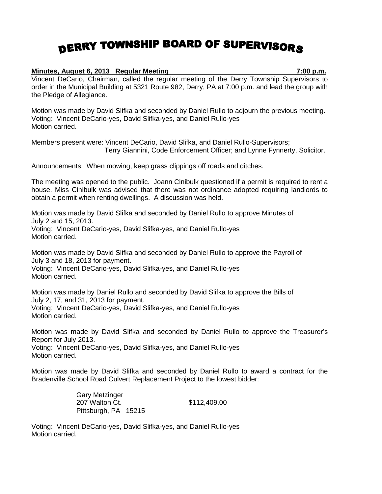## DERRY TOWNSHIP BOARD OF SUPERVISORS

## **Minutes, August 6, 2013 Regular Meeting 7:00 p.m.**

Vincent DeCario, Chairman, called the regular meeting of the Derry Township Supervisors to order in the Municipal Building at 5321 Route 982, Derry, PA at 7:00 p.m. and lead the group with the Pledge of Allegiance.

Motion was made by David Slifka and seconded by Daniel Rullo to adjourn the previous meeting. Voting: Vincent DeCario-yes, David Slifka-yes, and Daniel Rullo-yes Motion carried.

Members present were: Vincent DeCario, David Slifka, and Daniel Rullo-Supervisors; Terry Giannini, Code Enforcement Officer; and Lynne Fynnerty, Solicitor.

Announcements: When mowing, keep grass clippings off roads and ditches.

The meeting was opened to the public. Joann Cinibulk questioned if a permit is required to rent a house. Miss Cinibulk was advised that there was not ordinance adopted requiring landlords to obtain a permit when renting dwellings. A discussion was held.

Motion was made by David Slifka and seconded by Daniel Rullo to approve Minutes of July 2 and 15, 2013. Voting: Vincent DeCario-yes, David Slifka-yes, and Daniel Rullo-yes Motion carried.

Motion was made by David Slifka and seconded by Daniel Rullo to approve the Payroll of July 3 and 18, 2013 for payment. Voting: Vincent DeCario-yes, David Slifka-yes, and Daniel Rullo-yes Motion carried.

Motion was made by Daniel Rullo and seconded by David Slifka to approve the Bills of July 2, 17, and 31, 2013 for payment. Voting: Vincent DeCario-yes, David Slifka-yes, and Daniel Rullo-yes Motion carried.

Motion was made by David Slifka and seconded by Daniel Rullo to approve the Treasurer's Report for July 2013. Voting: Vincent DeCario-yes, David Slifka-yes, and Daniel Rullo-yes Motion carried.

Motion was made by David Slifka and seconded by Daniel Rullo to award a contract for the Bradenville School Road Culvert Replacement Project to the lowest bidder:

> Gary Metzinger 207 Walton Ct. 6112,409.00 Pittsburgh, PA 15215

Voting: Vincent DeCario-yes, David Slifka-yes, and Daniel Rullo-yes Motion carried.